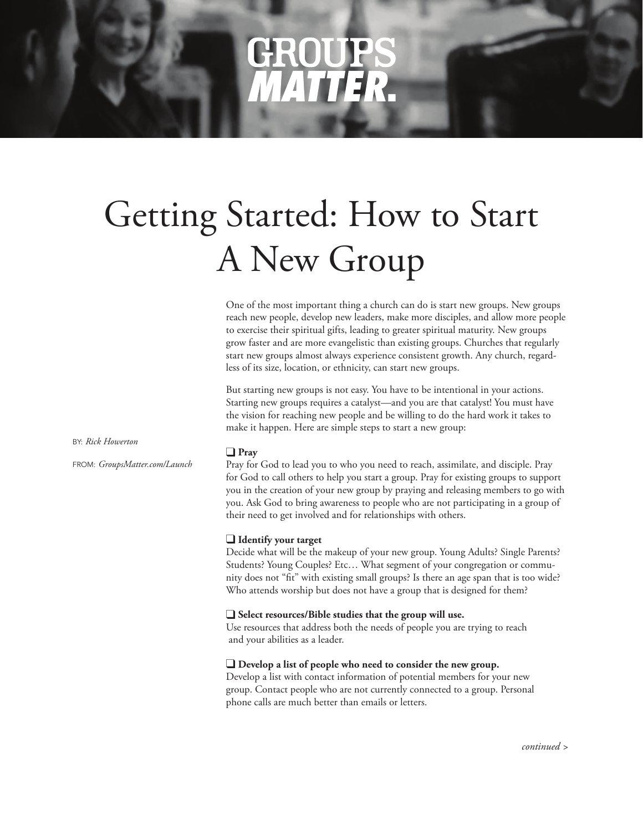# NATITER.

# Getting Started: How to Start A New Group

One of the most important thing a church can do is start new groups. New groups reach new people, develop new leaders, make more disciples, and allow more people to exercise their spiritual gifts, leading to greater spiritual maturity. New groups grow faster and are more evangelistic than existing groups. Churches that regularly start new groups almost always experience consistent growth. Any church, regardless of its size, location, or ethnicity, can start new groups.

But starting new groups is not easy. You have to be intentional in your actions. Starting new groups requires a catalyst—and you are that catalyst! You must have the vision for reaching new people and be willing to do the hard work it takes to make it happen. Here are simple steps to start a new group:

BY: *Rick Howerton*

FROM: *GroupsMatter.com/Launch*

### q **Pray**

Pray for God to lead you to who you need to reach, assimilate, and disciple. Pray for God to call others to help you start a group. Pray for existing groups to support you in the creation of your new group by praying and releasing members to go with you. Ask God to bring awareness to people who are not participating in a group of their need to get involved and for relationships with others.

# **q Identify your target**

Decide what will be the makeup of your new group. Young Adults? Single Parents? Students? Young Couples? Etc… What segment of your congregation or community does not "fit" with existing small groups? Is there an age span that is too wide? Who attends worship but does not have a group that is designed for them?

### **Q** Select resources/Bible studies that the group will use.

Use resources that address both the needs of people you are trying to reach and your abilities as a leader.

# **Q** Develop a list of people who need to consider the new group.

Develop a list with contact information of potential members for your new group. Contact people who are not currently connected to a group. Personal phone calls are much better than emails or letters.